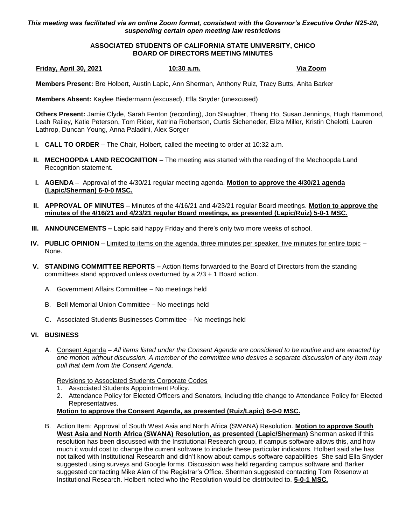*This meeting was facilitated via an online Zoom format, consistent with the Governor's Executive Order N25-20, suspending certain open meeting law restrictions*

## **ASSOCIATED STUDENTS OF CALIFORNIA STATE UNIVERSITY, CHICO BOARD OF DIRECTORS MEETING MINUTES**

**Friday, April 30, 2021 10:30 a.m. Via Zoom**

**Members Present:** Bre Holbert, Austin Lapic, Ann Sherman, Anthony Ruiz, Tracy Butts, Anita Barker

**Members Absent:** Kaylee Biedermann (excused), Ella Snyder (unexcused)

**Others Present:** Jamie Clyde, Sarah Fenton (recording), Jon Slaughter, Thang Ho, Susan Jennings, Hugh Hammond, Leah Railey, Katie Peterson, Tom Rider, Katrina Robertson, Curtis Sicheneder, Eliza Miller, Kristin Chelotti, Lauren Lathrop, Duncan Young, Anna Paladini, Alex Sorger

- **I. CALL TO ORDER** The Chair, Holbert, called the meeting to order at 10:32 a.m.
- **II. MECHOOPDA LAND RECOGNITION** The meeting was started with the reading of the Mechoopda Land Recognition statement.
- **I. AGENDA** Approval of the 4/30/21 regular meeting agenda. **Motion to approve the 4/30/21 agenda (Lapic/Sherman) 6-0-0 MSC.**
- **II. APPROVAL OF MINUTES** Minutes of the 4/16/21 and 4/23/21 regular Board meetings. **Motion to approve the minutes of the 4/16/21 and 4/23/21 regular Board meetings, as presented (Lapic/Ruiz) 5-0-1 MSC.**
- **III. ANNOUNCEMENTS –** Lapic said happy Friday and there's only two more weeks of school.
- **IV. PUBLIC OPINION** Limited to items on the agenda, three minutes per speaker, five minutes for entire topic None.
- **V. STANDING COMMITTEE REPORTS –** Action Items forwarded to the Board of Directors from the standing committees stand approved unless overturned by a 2/3 + 1 Board action.
	- A. Government Affairs Committee No meetings held
	- B. Bell Memorial Union Committee No meetings held
	- C. Associated Students Businesses Committee No meetings held

## **VI. BUSINESS**

A. Consent Agenda – *All items listed under the Consent Agenda are considered to be routine and are enacted by one motion without discussion. A member of the committee who desires a separate discussion of any item may pull that item from the Consent Agenda.*

Revisions to Associated Students Corporate Codes

- 1. Associated Students Appointment Policy.
- 2. Attendance Policy for Elected Officers and Senators, including title change to Attendance Policy for Elected Representatives.

**Motion to approve the Consent Agenda, as presented (Ruiz/Lapic) 6-0-0 MSC.**

B. Action Item: Approval of South West Asia and North Africa (SWANA) Resolution. **Motion to approve South West Asia and North Africa (SWANA) Resolution, as presented (Lapic/Sherman)** Sherman asked if this resolution has been discussed with the Institutional Research group, if campus software allows this, and how much it would cost to change the current software to include these particular indicators. Holbert said she has not talked with Institutional Research and didn't know about campus software capabilities She said Ella Snyder suggested using surveys and Google forms. Discussion was held regarding campus software and Barker suggested contacting Mike Alan of the Registrar's Office. Sherman suggested contacting Tom Rosenow at Institutional Research. Holbert noted who the Resolution would be distributed to. **5-0-1 MSC.**